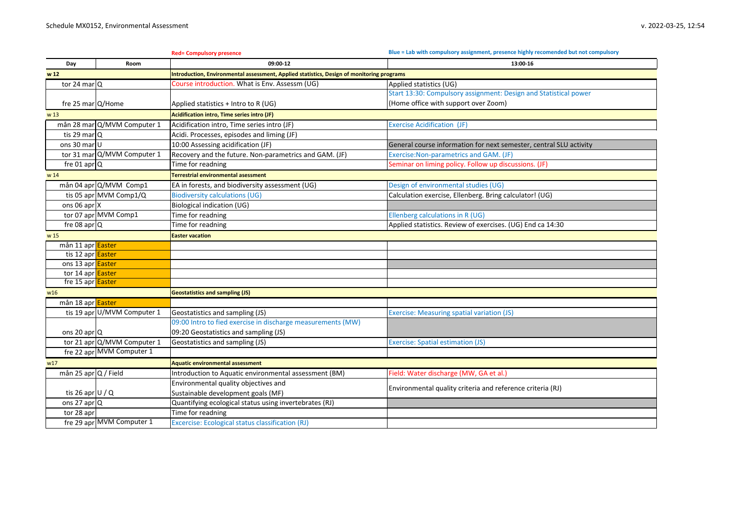|                           |                             | <b>Red= Compulsory presence</b>                                                                  | Blue = Lab with compulsory assignment, presence highly recomended but not compulsory |  |
|---------------------------|-----------------------------|--------------------------------------------------------------------------------------------------|--------------------------------------------------------------------------------------|--|
| Day                       | Room                        | 09:00-12                                                                                         | 13:00-16                                                                             |  |
| w <sub>12</sub>           |                             | <b>Introduction, Environmental assessment, Applied statistics, Design of monitoring programs</b> |                                                                                      |  |
| tor 24 mar $ Q $          |                             | Course introduction. What is Env. Assessm (UG)                                                   | Applied statistics (UG)                                                              |  |
|                           |                             |                                                                                                  | Start 13:30: Compulsory assignment: Design and Statistical power                     |  |
| fre 25 mar $Q/H$ ome      |                             | Applied statistics + Intro to R (UG)                                                             | (Home office with support over Zoom)                                                 |  |
| w 13                      |                             | Acidification intro, Time series intro (JF)                                                      |                                                                                      |  |
|                           | mån 28 mar Q/MVM Computer 1 | Acidification intro, Time series intro (JF)                                                      | <b>Exercise Acidification (JF)</b>                                                   |  |
| tis 29 mar <sub>Q</sub>   |                             | Acidi. Processes, episodes and liming (JF)                                                       |                                                                                      |  |
| ons 30 mar <sub>U</sub>   |                             | 10:00 Assessing acidification (JF)                                                               | General course information for next semester, central SLU activity                   |  |
|                           | tor 31 mar Q/MVM Computer 1 | Recovery and the future. Non-parametrics and GAM. (JF)                                           | Exercise: Non-parametrics and GAM. (JF)                                              |  |
| fre 01 apr $ Q $          |                             | Time for readning                                                                                | Seminar on liming policy. Follow up discussions. (JF)                                |  |
| w 14                      |                             | <b>Terrestrial environmental asessment</b>                                                       |                                                                                      |  |
|                           | mån 04 apr Q/MVM Comp1      | EA in forests, and biodiversity assessment (UG)                                                  | Design of environmental studies (UG)                                                 |  |
|                           | tis 05 apr MVM Comp1/Q      | <b>Biodiversity calculations (UG)</b>                                                            | Calculation exercise, Ellenberg. Bring calculator! (UG)                              |  |
| ons 06 apr $\vert$ X      |                             | <b>Biological indication (UG)</b>                                                                |                                                                                      |  |
|                           | tor 07 apr MVM Comp1        | Time for readning                                                                                | Ellenberg calculations in R (UG)                                                     |  |
| fre 08 apr $\overline{Q}$ |                             | Time for readning                                                                                | Applied statistics. Review of exercises. (UG) End ca 14:30                           |  |
| w 15                      |                             | <b>Easter vacation</b>                                                                           |                                                                                      |  |
| mån 11 apr <b>Easter</b>  |                             |                                                                                                  |                                                                                      |  |
| tis 12 apr Easter         |                             |                                                                                                  |                                                                                      |  |
| ons 13 apr Easter         |                             |                                                                                                  |                                                                                      |  |
| tor 14 apr Easter         |                             |                                                                                                  |                                                                                      |  |
| fre 15 apr Easter         |                             |                                                                                                  |                                                                                      |  |
| W16                       |                             | <b>Geostatistics and sampling (JS)</b>                                                           |                                                                                      |  |
| mån 18 apr <b>Easter</b>  |                             |                                                                                                  |                                                                                      |  |
|                           | tis 19 apr U/MVM Computer 1 | Geostatistics and sampling (JS)                                                                  | <b>Exercise: Measuring spatial variation (JS)</b>                                    |  |
|                           |                             | 09:00 Intro to fied exercise in discharge measurements (MW)                                      |                                                                                      |  |
| ons 20 apr $ Q $          |                             | 09:20 Geostatistics and sampling (JS)                                                            |                                                                                      |  |
|                           | tor 21 apr Q/MVM Computer 1 | Geostatistics and sampling (JS)                                                                  | <b>Exercise: Spatial estimation (JS)</b>                                             |  |
|                           | fre 22 apr MVM Computer 1   |                                                                                                  |                                                                                      |  |
| w17                       |                             | <b>Aquatic environmental assessment</b>                                                          |                                                                                      |  |
| mån 25 apr $Q /$ Field    |                             | Introduction to Aquatic environmental assessment (BM)                                            | Field: Water discharge (MW, GA et al.)                                               |  |
|                           |                             | Environmental quality objectives and                                                             | Environmental quality criteria and reference criteria (RJ)                           |  |
| tis 26 apr $U / Q$        |                             | Sustainable development goals (MF)                                                               |                                                                                      |  |
| ons 27 apr $ Q $          |                             | Quantifying ecological status using invertebrates (RJ)                                           |                                                                                      |  |
| tor 28 apr                |                             | Time for readning                                                                                |                                                                                      |  |
|                           | fre 29 apr MVM Computer 1   | Excercise: Ecological status classification (RJ)                                                 |                                                                                      |  |